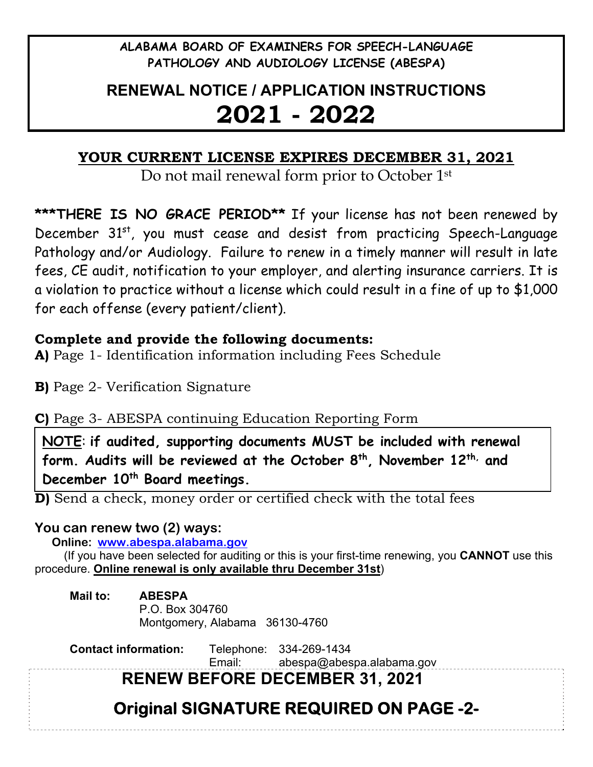**ALABAMA BOARD OF EXAMINERS FOR SPEECH-LANGUAGE PATHOLOGY AND AUDIOLOGY LICENSE (ABESPA)** 

# **RENEWAL NOTICE / APPLICATION INSTRUCTIONS 2021 - 2022**

### **YOUR CURRENT LICENSE EXPIRES DECEMBER 31, 2021**

Do not mail renewal form prior to October 1st

\*\*\*THERE IS NO GRACE PERIOD\*\* If your license has not been renewed by December 31<sup>st</sup>, you must cease and desist from practicing Speech-Language Pathology and/or Audiology. Failure to renew in a timely manner will result in late fees, CE audit, notification to your employer, and alerting insurance carriers. It is a violation to practice without a license which could result in a fine of up to \$1,000 for each offense (every patient/client).

### **Complete and provide the following documents:**

**A)** Page 1- Identification information including Fees Schedule

**B)** Page 2- Verification Signature

**C)** Page 3- ABESPA continuing Education Reporting Form

**NOTE**: **if audited, supporting documents MUST be included with renewal form. Audits will be reviewed at the October 8th, November 12th, and December 10th Board meetings.** 

**D**) Send a check, money order or certified check with the total fees

### **You can renew two (2) ways:**

 **Online: www.abespa.alabama.gov** 

(If you have been selected for auditing or this is your first-time renewing, you **CANNOT** use this procedure. **Online renewal is only available thru December 31st**)

**Mail to: ABESPA** P.O. Box 304760 Montgomery, Alabama 36130-4760

**Contact information:** Telephone: 334-269-1434

Email: abespa@abespa.alabama.gov

## **RENEW BEFORE DECEMBER 31, 2021**

## **Original SIGNATURE REQUIRED ON PAGE -2-**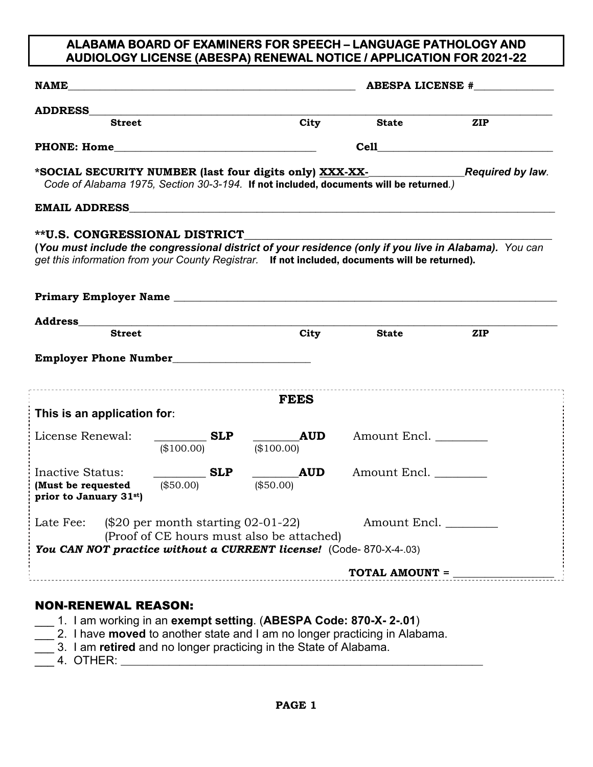#### **ALABAMA BOARD OF EXAMINERS FOR SPEECH – LANGUAGE PATHOLOGY AND AUDIOLOGY LICENSE (ABESPA) RENEWAL NOTICE / APPLICATION FOR 2021-22**

| <b>NAME</b> 2008 2014 2015 2022 2023 2023 2024 2022 2023 2024 2022 2023 2024 2022 2023 2024 2025 2026 2027 2028 2021 20                                                                                                                  |                                                                                                                                                                                                                                                                                                                                                                                                                                    |                                                                                                                                       | ABESPA LICENSE #    |                  |  |  |
|------------------------------------------------------------------------------------------------------------------------------------------------------------------------------------------------------------------------------------------|------------------------------------------------------------------------------------------------------------------------------------------------------------------------------------------------------------------------------------------------------------------------------------------------------------------------------------------------------------------------------------------------------------------------------------|---------------------------------------------------------------------------------------------------------------------------------------|---------------------|------------------|--|--|
| <b>ADDRESS</b>                                                                                                                                                                                                                           | the control of the control of the control of the control of the control of the control of the control of the control of the control of the control of the control of the control of the control of the control of the control                                                                                                                                                                                                      |                                                                                                                                       |                     |                  |  |  |
| <b>Street</b>                                                                                                                                                                                                                            |                                                                                                                                                                                                                                                                                                                                                                                                                                    | City                                                                                                                                  | <b>State</b>        | <b>ZIP</b>       |  |  |
|                                                                                                                                                                                                                                          |                                                                                                                                                                                                                                                                                                                                                                                                                                    |                                                                                                                                       |                     |                  |  |  |
| *SOCIAL SECURITY NUMBER (last four digits only) XXX-XX-<br>Code of Alabama 1975, Section 30-3-194. If not included, documents will be returned.)                                                                                         |                                                                                                                                                                                                                                                                                                                                                                                                                                    |                                                                                                                                       |                     | Required by law. |  |  |
|                                                                                                                                                                                                                                          |                                                                                                                                                                                                                                                                                                                                                                                                                                    |                                                                                                                                       |                     |                  |  |  |
| **U.S. CONGRESSIONAL DISTRICT<br>(You must include the congressional district of your residence (only if you live in Alabama). You can<br>get this information from your County Registrar. If not included, documents will be returned). |                                                                                                                                                                                                                                                                                                                                                                                                                                    |                                                                                                                                       |                     |                  |  |  |
|                                                                                                                                                                                                                                          |                                                                                                                                                                                                                                                                                                                                                                                                                                    |                                                                                                                                       |                     |                  |  |  |
| <b>Address</b>                                                                                                                                                                                                                           |                                                                                                                                                                                                                                                                                                                                                                                                                                    |                                                                                                                                       |                     |                  |  |  |
| <b>Street</b>                                                                                                                                                                                                                            |                                                                                                                                                                                                                                                                                                                                                                                                                                    | City                                                                                                                                  | <b>State</b>        | <b>ZIP</b>       |  |  |
| Employer Phone Number<br><u>Employer Phone Number</u>                                                                                                                                                                                    |                                                                                                                                                                                                                                                                                                                                                                                                                                    |                                                                                                                                       |                     |                  |  |  |
|                                                                                                                                                                                                                                          |                                                                                                                                                                                                                                                                                                                                                                                                                                    | <b>FEES</b>                                                                                                                           |                     |                  |  |  |
| This is an application for:                                                                                                                                                                                                              |                                                                                                                                                                                                                                                                                                                                                                                                                                    |                                                                                                                                       |                     |                  |  |  |
| License Renewal:                                                                                                                                                                                                                         | $\frac{1}{\sqrt{1-\frac{1}{2}}\sqrt{1-\frac{1}{2}}\sqrt{1-\frac{1}{2}}\sqrt{1-\frac{1}{2}}\sqrt{1-\frac{1}{2}}\sqrt{1-\frac{1}{2}}\sqrt{1-\frac{1}{2}}\sqrt{1-\frac{1}{2}}\sqrt{1-\frac{1}{2}}\sqrt{1-\frac{1}{2}}\sqrt{1-\frac{1}{2}}\sqrt{1-\frac{1}{2}}\sqrt{1-\frac{1}{2}}\sqrt{1-\frac{1}{2}}\sqrt{1-\frac{1}{2}}\sqrt{1-\frac{1}{2}}\sqrt{1-\frac{1}{2}}\sqrt{1-\frac{1}{2}}\sqrt{1-\frac{1}{2}}\sqrt{1-\frac$<br>(\$100.00) | <b>AUD</b><br>(\$100.00)                                                                                                              | Amount Encl.        |                  |  |  |
| <b>Inactive Status:</b><br>(Must be requested                                                                                                                                                                                            | <b>SLP</b><br>$(\$50.00)$                                                                                                                                                                                                                                                                                                                                                                                                          | <b>AUD</b><br>(\$50.00)                                                                                                               | Amount Encl.        |                  |  |  |
| prior to January 31 <sup>st</sup> )<br>Late Fee:<br>You CAN NOT practice without a CURRENT license! (Code-870-X-4-.03)                                                                                                                   | $(\$20$ per month starting 02-01-22)                                                                                                                                                                                                                                                                                                                                                                                               | (Proof of CE hours must also be attached)                                                                                             | Amount Encl.        |                  |  |  |
|                                                                                                                                                                                                                                          |                                                                                                                                                                                                                                                                                                                                                                                                                                    |                                                                                                                                       | $TOTAL AMOUNT = \n$ |                  |  |  |
| <b>NON-RENEWAL REASON:</b><br>2. I have <b>moved</b> to another state and I am no longer practicing in Alabama.                                                                                                                          |                                                                                                                                                                                                                                                                                                                                                                                                                                    | 1. I am working in an exempt setting. (ABESPA Code: 870-X-2-.01)<br>3. I am retired and no longer practicing in the State of Alabama. |                     |                  |  |  |

\_\_\_ 4. OTHER: \_\_\_\_\_\_\_\_\_\_\_\_\_\_\_\_\_\_\_\_\_\_\_\_\_\_\_\_\_\_\_\_\_\_\_\_\_\_\_\_\_\_\_\_\_\_\_\_\_\_\_\_\_\_\_\_\_\_\_\_\_\_\_\_\_\_\_\_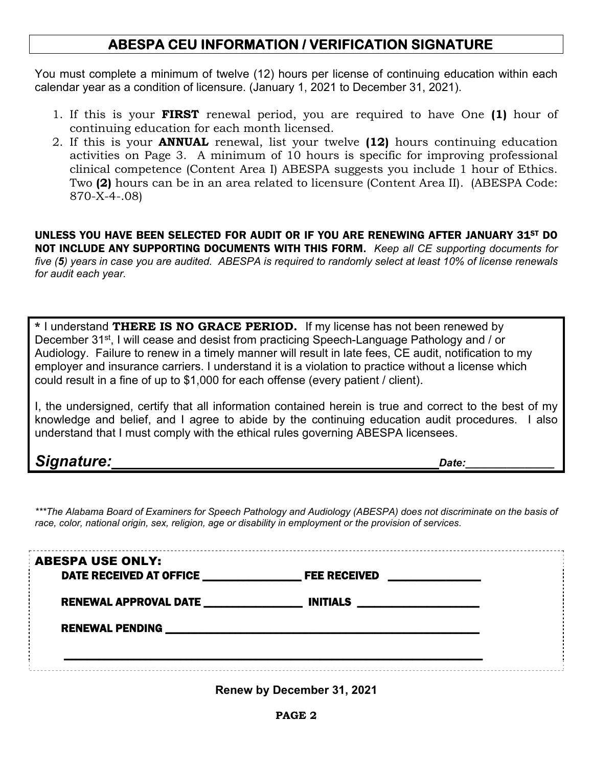### **ABESPA CEU INFORMATION / VERIFICATION SIGNATURE**

You must complete a minimum of twelve (12) hours per license of continuing education within each calendar year as a condition of licensure. (January 1, 2021 to December 31, 2021).

- 1. If this is your **FIRST** renewal period, you are required to have One **(1)** hour of continuing education for each month licensed.
- 2. If this is your **ANNUAL** renewal, list your twelve **(12)** hours continuing education activities on Page 3. A minimum of 10 hours is specific for improving professional clinical competence (Content Area I) ABESPA suggests you include 1 hour of Ethics. Two **(2)** hours can be in an area related to licensure (Content Area II). (ABESPA Code: 870-X-4-.08)

UNLESS YOU HAVE BEEN SELECTED FOR AUDIT OR IF YOU ARE RENEWING AFTER JANUARY 31ST DO NOT INCLUDE ANY SUPPORTING DOCUMENTS WITH THIS FORM**.** *Keep all CE supporting documents for five (5) years in case you are audited. ABESPA is required to randomly select at least 10% of license renewals for audit each year.* 

**\*** I understand **THERE IS NO GRACE PERIOD.** If my license has not been renewed by December 31<sup>st</sup>, I will cease and desist from practicing Speech-Language Pathology and / or Audiology. Failure to renew in a timely manner will result in late fees, CE audit, notification to my employer and insurance carriers. I understand it is a violation to practice without a license which could result in a fine of up to \$1,000 for each offense (every patient / client).

I, the undersigned, certify that all information contained herein is true and correct to the best of my knowledge and belief, and I agree to abide by the continuing education audit procedures. I also understand that I must comply with the ethical rules governing ABESPA licensees.

**Signature:**  $\bullet$ 

*\*\*\*The Alabama Board of Examiners for Speech Pathology and Audiology (ABESPA) does not discriminate on the basis of race, color, national origin, sex, religion, age or disability in employment or the provision of services.* 

| <b>FEE RECEIVED</b> |  |
|---------------------|--|
| <b>INITIALS</b>     |  |
|                     |  |
|                     |  |
|                     |  |

**Renew by December 31, 2021**